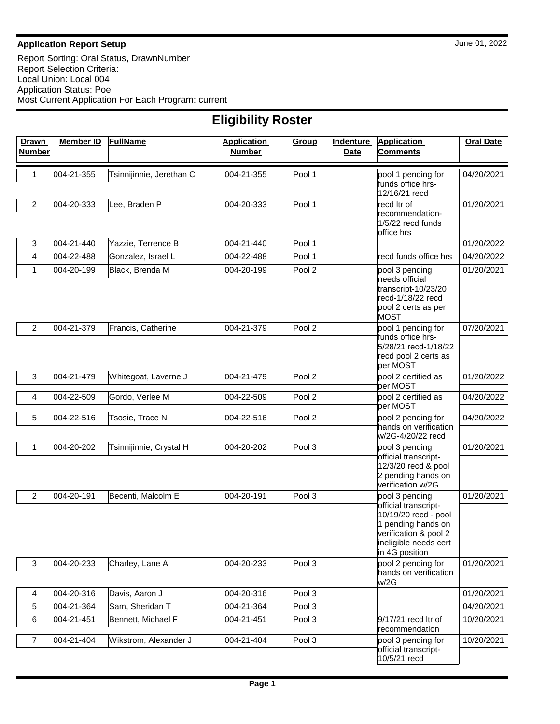## **Application Report Setup** June 01, 2022

Report Sorting: Oral Status, DrawnNumber Report Selection Criteria: Local Union: Local 004 Application Status: Poe Most Current Application For Each Program: current

| <b>Eligibility Roster</b>     |                  |                          |                                     |        |                                 |                                                                                                                                        |                  |  |
|-------------------------------|------------------|--------------------------|-------------------------------------|--------|---------------------------------|----------------------------------------------------------------------------------------------------------------------------------------|------------------|--|
| <b>Drawn</b><br><b>Number</b> | <b>Member ID</b> | <b>FullName</b>          | <b>Application</b><br><b>Number</b> | Group  | <b>Indenture</b><br><b>Date</b> | <b>Application</b><br><b>Comments</b>                                                                                                  | <b>Oral Date</b> |  |
| 1                             | 004-21-355       | Tsinnijinnie, Jerethan C | 004-21-355                          | Pool 1 |                                 | pool 1 pending for<br>funds office hrs-<br>12/16/21 recd                                                                               | 04/20/2021       |  |
| $\overline{2}$                | 004-20-333       | Lee, Braden P            | 004-20-333                          | Pool 1 |                                 | recd Itr of                                                                                                                            | 01/20/2021       |  |
|                               |                  |                          |                                     |        |                                 | recommendation-<br>1/5/22 recd funds<br>office hrs                                                                                     |                  |  |
| 3                             | 004-21-440       | Yazzie, Terrence B       | 004-21-440                          | Pool 1 |                                 |                                                                                                                                        | 01/20/2022       |  |
| 4                             | 004-22-488       | Gonzalez, Israel L       | 004-22-488                          | Pool 1 |                                 | recd funds office hrs                                                                                                                  | 04/20/2022       |  |
| 1                             | 004-20-199       | Black, Brenda M          | 004-20-199                          | Pool 2 |                                 | pool 3 pending                                                                                                                         | 01/20/2021       |  |
|                               |                  |                          |                                     |        |                                 | needs official<br>transcript-10/23/20<br>recd-1/18/22 recd<br>pool 2 certs as per<br><b>MOST</b>                                       |                  |  |
| $\overline{c}$                | 004-21-379       | Francis, Catherine       | 004-21-379                          | Pool 2 |                                 | pool 1 pending for                                                                                                                     | 07/20/2021       |  |
|                               |                  |                          |                                     |        |                                 | funds office hrs-<br>5/28/21 recd-1/18/22<br>recd pool 2 certs as<br>per MOST                                                          |                  |  |
| 3                             | 004-21-479       | Whitegoat, Laverne J     | 004-21-479                          | Pool 2 |                                 | pool 2 certified as<br>per MOST                                                                                                        | 01/20/2022       |  |
| 4                             | 004-22-509       | Gordo, Verlee M          | 004-22-509                          | Pool 2 |                                 | pool 2 certified as<br>per MOST                                                                                                        | 04/20/2022       |  |
| 5                             | 004-22-516       | Tsosie, Trace N          | 004-22-516                          | Pool 2 |                                 | pool 2 pending for                                                                                                                     | 04/20/2022       |  |
|                               |                  |                          |                                     |        |                                 | hands on verification<br>w/2G-4/20/22 recd                                                                                             |                  |  |
| 1                             | 004-20-202       | Tsinnijinnie, Crystal H  | 004-20-202                          | Pool 3 |                                 | pool 3 pending                                                                                                                         | 01/20/2021       |  |
|                               |                  |                          |                                     |        |                                 | official transcript-<br>12/3/20 recd & pool<br>2 pending hands on<br>verification w/2G                                                 |                  |  |
| 2                             | 004-20-191       | Becenti, Malcolm E       | 004-20-191                          | Pool 3 |                                 | pool 3 pending                                                                                                                         | 01/20/2021       |  |
|                               |                  |                          |                                     |        |                                 | official transcript-<br>10/19/20 recd - pool<br>1 pending hands on<br>verification & pool 2<br>ineligible needs cert<br>in 4G position |                  |  |
| $\mathbf{3}$                  | 004-20-233       | Charley, Lane A          | 004-20-233                          | Pool 3 |                                 | pool 2 pending for<br>hands on verification                                                                                            | 01/20/2021       |  |
|                               |                  |                          |                                     |        |                                 | w/2G                                                                                                                                   |                  |  |
| $\overline{4}$                | 004-20-316       | Davis, Aaron J           | 004-20-316                          | Pool 3 |                                 |                                                                                                                                        | 01/20/2021       |  |
| 5                             | 004-21-364       | Sam, Sheridan T          | 004-21-364                          | Pool 3 |                                 |                                                                                                                                        | 04/20/2021       |  |
| 6                             | 004-21-451       | Bennett, Michael F       | 004-21-451                          | Pool 3 |                                 | 9/17/21 recd ltr of<br>recommendation                                                                                                  | 10/20/2021       |  |
| 7                             | 004-21-404       | Wikstrom, Alexander J    | 004-21-404                          | Pool 3 |                                 | pool 3 pending for<br>official transcript-<br>10/5/21 recd                                                                             | 10/20/2021       |  |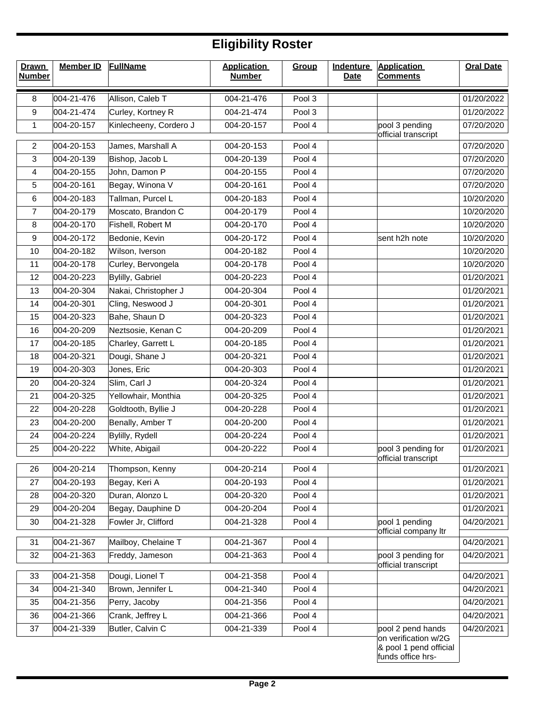## **Eligibility Roster**

| <b>Drawn</b><br><b>Number</b> | <b>Member ID</b> | <b>FullName</b>        | <b>Application</b><br><b>Number</b> | Group  | <b>Indenture</b><br><b>Date</b> | <b>Application</b><br><b>Comments</b>                                                    | <b>Oral Date</b> |
|-------------------------------|------------------|------------------------|-------------------------------------|--------|---------------------------------|------------------------------------------------------------------------------------------|------------------|
| 8                             | 004-21-476       | Allison, Caleb T       | 004-21-476                          | Pool 3 |                                 |                                                                                          | 01/20/2022       |
| 9                             | 004-21-474       | Curley, Kortney R      | 004-21-474                          | Pool 3 |                                 |                                                                                          | 01/20/2022       |
| 1                             | 004-20-157       | Kinlecheeny, Cordero J | 004-20-157                          | Pool 4 |                                 | pool 3 pending<br>official transcript                                                    | 07/20/2020       |
| $\overline{2}$                | 004-20-153       | James, Marshall A      | 004-20-153                          | Pool 4 |                                 |                                                                                          | 07/20/2020       |
| $\sqrt{3}$                    | 004-20-139       | Bishop, Jacob L        | 004-20-139                          | Pool 4 |                                 |                                                                                          | 07/20/2020       |
| 4                             | 004-20-155       | John, Damon P          | 004-20-155                          | Pool 4 |                                 |                                                                                          | 07/20/2020       |
| 5                             | 004-20-161       | Begay, Winona V        | 004-20-161                          | Pool 4 |                                 |                                                                                          | 07/20/2020       |
| 6                             | 004-20-183       | Tallman, Purcel L      | 004-20-183                          | Pool 4 |                                 |                                                                                          | 10/20/2020       |
| $\overline{7}$                | 004-20-179       | Moscato, Brandon C     | 004-20-179                          | Pool 4 |                                 |                                                                                          | 10/20/2020       |
| 8                             | 004-20-170       | Fishell, Robert M      | 004-20-170                          | Pool 4 |                                 |                                                                                          | 10/20/2020       |
| 9                             | 004-20-172       | Bedonie, Kevin         | 004-20-172                          | Pool 4 |                                 | sent h2h note                                                                            | 10/20/2020       |
| 10                            | 004-20-182       | Wilson, Iverson        | 004-20-182                          | Pool 4 |                                 |                                                                                          | 10/20/2020       |
| 11                            | 004-20-178       | Curley, Bervongela     | 004-20-178                          | Pool 4 |                                 |                                                                                          | 10/20/2020       |
| 12                            | 004-20-223       | Bylilly, Gabriel       | 004-20-223                          | Pool 4 |                                 |                                                                                          | 01/20/2021       |
| 13                            | 004-20-304       | Nakai, Christopher J   | 004-20-304                          | Pool 4 |                                 |                                                                                          | 01/20/2021       |
| 14                            | 004-20-301       | Cling, Neswood J       | 004-20-301                          | Pool 4 |                                 |                                                                                          | 01/20/2021       |
| 15                            | 004-20-323       | Bahe, Shaun D          | 004-20-323                          | Pool 4 |                                 |                                                                                          | 01/20/2021       |
| 16                            | 004-20-209       | Neztsosie, Kenan C     | 004-20-209                          | Pool 4 |                                 |                                                                                          | 01/20/2021       |
| 17                            | 004-20-185       | Charley, Garrett L     | 004-20-185                          | Pool 4 |                                 |                                                                                          | 01/20/2021       |
| 18                            | 004-20-321       | Dougi, Shane J         | 004-20-321                          | Pool 4 |                                 |                                                                                          | 01/20/2021       |
| 19                            | 004-20-303       | Jones, Eric            | 004-20-303                          | Pool 4 |                                 |                                                                                          | 01/20/2021       |
| 20                            | 004-20-324       | Slim, Carl J           | 004-20-324                          | Pool 4 |                                 |                                                                                          | 01/20/2021       |
| 21                            | 004-20-325       | Yellowhair, Monthia    | 004-20-325                          | Pool 4 |                                 |                                                                                          | 01/20/2021       |
| 22                            | 004-20-228       | Goldtooth, Byllie J    | 004-20-228                          | Pool 4 |                                 |                                                                                          | 01/20/2021       |
| 23                            | 004-20-200       | Benally, Amber T       | 004-20-200                          | Pool 4 |                                 |                                                                                          | 01/20/2021       |
| 24                            | 004-20-224       | Bylilly, Rydell        | 004-20-224                          | Pool 4 |                                 |                                                                                          | 01/20/2021       |
| 25                            | 004-20-222       | White, Abigail         | 004-20-222                          | Pool 4 |                                 | pool 3 pending for<br>official transcript                                                | 01/20/2021       |
| 26                            | 004-20-214       | Thompson, Kenny        | 004-20-214                          | Pool 4 |                                 |                                                                                          | 01/20/2021       |
| 27                            | 004-20-193       | Begay, Keri A          | 004-20-193                          | Pool 4 |                                 |                                                                                          | 01/20/2021       |
| 28                            | 004-20-320       | Duran, Alonzo L        | 004-20-320                          | Pool 4 |                                 |                                                                                          | 01/20/2021       |
| 29                            | 004-20-204       | Begay, Dauphine D      | 004-20-204                          | Pool 4 |                                 |                                                                                          | 01/20/2021       |
| 30                            | 004-21-328       | Fowler Jr, Clifford    | 004-21-328                          | Pool 4 |                                 | pool 1 pending<br>official company ltr                                                   | 04/20/2021       |
| 31                            | 004-21-367       | Mailboy, Chelaine T    | 004-21-367                          | Pool 4 |                                 |                                                                                          | 04/20/2021       |
| 32                            | 004-21-363       | Freddy, Jameson        | 004-21-363                          | Pool 4 |                                 | pool 3 pending for<br>official transcript                                                | 04/20/2021       |
| 33                            | 004-21-358       | Dougi, Lionel T        | 004-21-358                          | Pool 4 |                                 |                                                                                          | 04/20/2021       |
| 34                            | 004-21-340       | Brown, Jennifer L      | 004-21-340                          | Pool 4 |                                 |                                                                                          | 04/20/2021       |
| 35                            | 004-21-356       | Perry, Jacoby          | 004-21-356                          | Pool 4 |                                 |                                                                                          | 04/20/2021       |
| 36                            | 004-21-366       | Crank, Jeffrey L       | 004-21-366                          | Pool 4 |                                 |                                                                                          | 04/20/2021       |
| 37                            | 004-21-339       | Butler, Calvin C       | 004-21-339                          | Pool 4 |                                 | pool 2 pend hands<br>on verification w/2G<br>& pool 1 pend official<br>funds office hrs- | 04/20/2021       |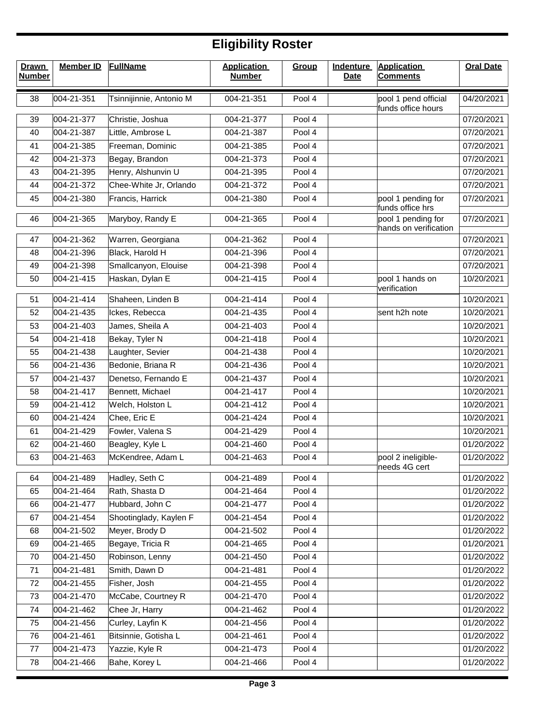## **Eligibility Roster**

| <b>Drawn</b><br><b>Number</b> | <b>Member ID</b> | <b>FullName</b>         | <b>Application</b><br><b>Number</b> | Group  | <b>Indenture</b><br><b>Date</b> | <b>Application</b><br><b>Comments</b>       | <b>Oral Date</b> |
|-------------------------------|------------------|-------------------------|-------------------------------------|--------|---------------------------------|---------------------------------------------|------------------|
| 38                            | 004-21-351       | Tsinnijinnie, Antonio M | 004-21-351                          | Pool 4 |                                 | pool 1 pend official<br>funds office hours  | 04/20/2021       |
| 39                            | 004-21-377       | Christie, Joshua        | 004-21-377                          | Pool 4 |                                 |                                             | 07/20/2021       |
| 40                            | 004-21-387       | Little, Ambrose L       | 004-21-387                          | Pool 4 |                                 |                                             | 07/20/2021       |
| 41                            | 004-21-385       | Freeman, Dominic        | 004-21-385                          | Pool 4 |                                 |                                             | 07/20/2021       |
| 42                            | 004-21-373       | Begay, Brandon          | 004-21-373                          | Pool 4 |                                 |                                             | 07/20/2021       |
| 43                            | 004-21-395       | Henry, Alshunvin U      | 004-21-395                          | Pool 4 |                                 |                                             | 07/20/2021       |
| 44                            | 004-21-372       | Chee-White Jr, Orlando  | 004-21-372                          | Pool 4 |                                 |                                             | 07/20/2021       |
| 45                            | 004-21-380       | Francis, Harrick        | 004-21-380                          | Pool 4 |                                 | pool 1 pending for<br>funds office hrs      | 07/20/2021       |
| 46                            | 004-21-365       | Maryboy, Randy E        | 004-21-365                          | Pool 4 |                                 | pool 1 pending for<br>hands on verification | 07/20/2021       |
| 47                            | 004-21-362       | Warren, Georgiana       | 004-21-362                          | Pool 4 |                                 |                                             | 07/20/2021       |
| 48                            | 004-21-396       | Black, Harold H         | 004-21-396                          | Pool 4 |                                 |                                             | 07/20/2021       |
| 49                            | 004-21-398       | Smallcanyon, Elouise    | 004-21-398                          | Pool 4 |                                 |                                             | 07/20/2021       |
| 50                            | 004-21-415       | Haskan, Dylan E         | 004-21-415                          | Pool 4 |                                 | pool 1 hands on<br>verification             | 10/20/2021       |
| 51                            | 004-21-414       | Shaheen, Linden B       | 004-21-414                          | Pool 4 |                                 |                                             | 10/20/2021       |
| 52                            | 004-21-435       | Ickes, Rebecca          | 004-21-435                          | Pool 4 |                                 | sent h2h note                               | 10/20/2021       |
| 53                            | 004-21-403       | James, Sheila A         | 004-21-403                          | Pool 4 |                                 |                                             | 10/20/2021       |
| 54                            | 004-21-418       | Bekay, Tyler N          | 004-21-418                          | Pool 4 |                                 |                                             | 10/20/2021       |
| 55                            | 004-21-438       | Laughter, Sevier        | 004-21-438                          | Pool 4 |                                 |                                             | 10/20/2021       |
| 56                            | 004-21-436       | Bedonie, Briana R       | 004-21-436                          | Pool 4 |                                 |                                             | 10/20/2021       |
| 57                            | 004-21-437       | Denetso, Fernando E     | 004-21-437                          | Pool 4 |                                 |                                             | 10/20/2021       |
| 58                            | 004-21-417       | Bennett, Michael        | 004-21-417                          | Pool 4 |                                 |                                             | 10/20/2021       |
| 59                            | 004-21-412       | Welch, Holston L        | 004-21-412                          | Pool 4 |                                 |                                             | 10/20/2021       |
| 60                            | 004-21-424       | Chee, Eric E            | 004-21-424                          | Pool 4 |                                 |                                             | 10/20/2021       |
| 61                            | 004-21-429       | Fowler, Valena S        | 004-21-429                          | Pool 4 |                                 |                                             | 10/20/2021       |
| 62                            | 004-21-460       | Beagley, Kyle L         | 004-21-460                          | Pool 4 |                                 |                                             | 01/20/2022       |
| 63                            | 004-21-463       | McKendree, Adam L       | 004-21-463                          | Pool 4 |                                 | pool 2 ineligible-<br>needs 4G cert         | 01/20/2022       |
| 64                            | 004-21-489       | Hadley, Seth C          | 004-21-489                          | Pool 4 |                                 |                                             | 01/20/2022       |
| 65                            | 004-21-464       | Rath, Shasta D          | 004-21-464                          | Pool 4 |                                 |                                             | 01/20/2022       |
| 66                            | 004-21-477       | Hubbard, John C         | 004-21-477                          | Pool 4 |                                 |                                             | 01/20/2022       |
| 67                            | 004-21-454       | Shootinglady, Kaylen F  | 004-21-454                          | Pool 4 |                                 |                                             | 01/20/2022       |
| 68                            | 004-21-502       | Meyer, Brody D          | 004-21-502                          | Pool 4 |                                 |                                             | 01/20/2022       |
| 69                            | 004-21-465       | Begaye, Tricia R        | 004-21-465                          | Pool 4 |                                 |                                             | 01/20/2021       |
| 70                            | 004-21-450       | Robinson, Lenny         | 004-21-450                          | Pool 4 |                                 |                                             | 01/20/2022       |
| 71                            | 004-21-481       | Smith, Dawn D           | 004-21-481                          | Pool 4 |                                 |                                             | 01/20/2022       |
| 72                            | 004-21-455       | Fisher, Josh            | 004-21-455                          | Pool 4 |                                 |                                             | 01/20/2022       |
| 73                            | 004-21-470       | McCabe, Courtney R      | 004-21-470                          | Pool 4 |                                 |                                             | 01/20/2022       |
| 74                            | 004-21-462       | Chee Jr, Harry          | 004-21-462                          | Pool 4 |                                 |                                             | 01/20/2022       |
| 75                            | 004-21-456       | Curley, Layfin K        | 004-21-456                          | Pool 4 |                                 |                                             | 01/20/2022       |
| 76                            | 004-21-461       | Bitsinnie, Gotisha L    | 004-21-461                          | Pool 4 |                                 |                                             | 01/20/2022       |
| 77                            | 004-21-473       | Yazzie, Kyle R          | 004-21-473                          | Pool 4 |                                 |                                             | 01/20/2022       |
| 78                            | 004-21-466       | Bahe, Korey L           | 004-21-466                          | Pool 4 |                                 |                                             | 01/20/2022       |